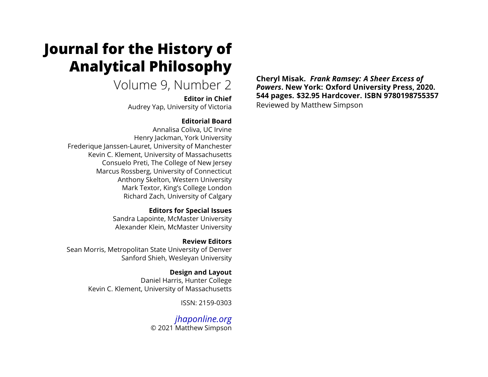# **Journal for the History of Analytical Philosophy**

# Volume 9, Number 2

**Editor in Chief** Audrey Yap, University of Victoria

# **Editorial Board**

Annalisa Coliva, UC Irvine Henry Jackman, York University Frederique Janssen-Lauret, University of Manchester Kevin C. Klement, University of Massachusetts Consuelo Preti, The College of New Jersey Marcus Rossberg, University of Connecticut Anthony Skelton, Western University Mark Textor, King's College London Richard Zach, University of Calgary

## **Editors for Special Issues**

Sandra Lapointe, McMaster University Alexander Klein, McMaster University

**Review Editors** Sean Morris, Metropolitan State University of Denver Sanford Shieh, Wesleyan University

> **Design and Layout** Daniel Harris, Hunter College Kevin C. Klement, University of Massachusetts

> > ISSN: 2159-0303

*[jhaponline.org](https://jhaponline.org)* © 2021 Matthew Simpson **Cheryl Misak.** *Frank Ramsey: A Sheer Excess of Powers***. New York: Oxford University Press, 2020. 544 pages. \$32.95 Hardcover. ISBN 9780198755357** Reviewed by Matthew Simpson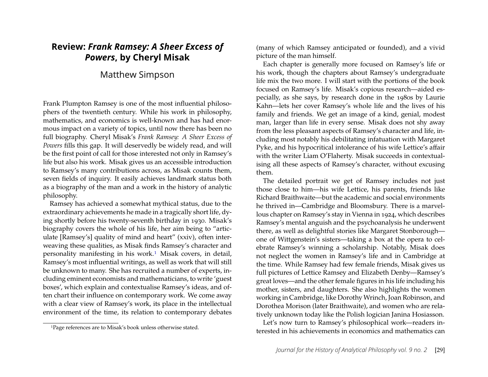# **Review:** *Frank Ramsey: A Sheer Excess of Powers***, by Cheryl Misak**

# Matthew Simpson

Frank Plumpton Ramsey is one of the most influential philosophers of the twentieth century. While his work in philosophy, mathematics, and economics is well-known and has had enormous impact on a variety of topics, until now there has been no full biography. Cheryl Misak's *Frank Ramsey: A Sheer Excess of Powers* fills this gap. It will deservedly be widely read, and will be the first point of call for those interested not only in Ramsey's life but also his work. Misak gives us an accessible introduction to Ramsey's many contributions across, as Misak counts them, seven fields of inquiry. It easily achieves landmark status both as a biography of the man and a work in the history of analytic philosophy.

Ramsey has achieved a somewhat mythical status, due to the extraordinary achievements he made in a tragically short life, dying shortly before his twenty-seventh birthday in 1930. Misak's biography covers the whole of his life, her aim being to "articulate [Ramsey's] quality of mind and heart" (xxiv), often interweaving these qualities, as Misak finds Ramsey's character and personality manifesting in his work.[1](#page-1-0) Misak covers, in detail, Ramsey's most influential writings, as well as work that will still be unknown to many. She has recruited a number of experts, including eminent economists and mathematicians, to write 'guest boxes', which explain and contextualise Ramsey's ideas, and often chart their influence on contemporary work. We come away with a clear view of Ramsey's work, its place in the intellectual environment of the time, its relation to contemporary debates

(many of which Ramsey anticipated or founded), and a vivid picture of the man himself.

Each chapter is generally more focused on Ramsey's life or his work, though the chapters about Ramsey's undergraduate life mix the two more. I will start with the portions of the book focused on Ramsey's life. Misak's copious research—aided especially, as she says, by research done in the 1980s by Laurie Kahn—lets her cover Ramsey's whole life and the lives of his family and friends. We get an image of a kind, genial, modest man, larger than life in every sense. Misak does not shy away from the less pleasant aspects of Ramsey's character and life, including most notably his debilitating infatuation with Margaret Pyke, and his hypocritical intolerance of his wife Lettice's affair with the writer Liam O'Flaherty. Misak succeeds in contextualising all these aspects of Ramsey's character, without excusing them.

The detailed portrait we get of Ramsey includes not just those close to him—his wife Lettice, his parents, friends like Richard Braithwaite—but the academic and social environments he thrived in—Cambridge and Bloomsbury. There is a marvellous chapter on Ramsey's stay in Vienna in 1924, which describes Ramsey's mental anguish and the psychoanalysis he underwent there, as well as delightful stories like Margaret Stonborough one of Wittgenstein's sisters—taking a box at the opera to celebrate Ramsey's winning a scholarship. Notably, Misak does not neglect the women in Ramsey's life and in Cambridge at the time. While Ramsey had few female friends, Misak gives us full pictures of Lettice Ramsey and Elizabeth Denby—Ramsey's great loves—and the other female figures in his life including his mother, sisters, and daughters. She also highlights the women working in Cambridge, like Dorothy Wrinch, Joan Robinson, and Dorothea Morison (later Braithwaite), and women who are relatively unknown today like the Polish logician Janina Hosiasson.

Let's now turn to Ramsey's philosophical work—readers interested in his achievements in economics and mathematics can

<span id="page-1-0"></span><sup>1</sup>Page references are to Misak's book unless otherwise stated.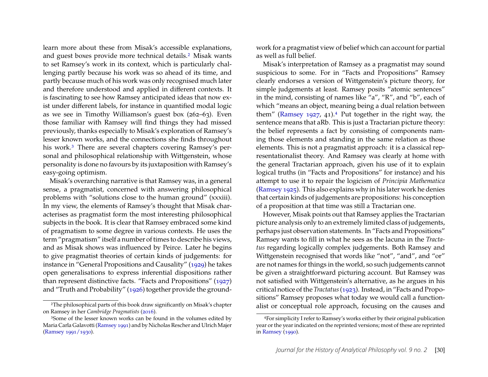learn more about these from Misak's accessible explanations, and guest boxes provide more technical details.[2](#page-2-0) Misak wants to set Ramsey's work in its context, which is particularly challenging partly because his work was so ahead of its time, and partly because much of his work was only recognised much later and therefore understood and applied in different contexts. It is fascinating to see how Ramsey anticipated ideas that now exist under different labels, for instance in quantified modal logic as we see in Timothy Williamson's guest box (262–63). Even those familiar with Ramsey will find things they had missed previously, thanks especially to Misak's exploration of Ramsey's lesser known works, and the connections she finds throughout his work.<sup>[3](#page-2-1)</sup> There are several chapters covering Ramsey's personal and philosophical relationship with Wittgenstein, whose personality is done no favours by its juxtaposition with Ramsey's easy-going optimism.

Misak's overarching narrative is that Ramsey was, in a general sense, a pragmatist, concerned with answering philosophical problems with "solutions close to the human ground" (xxxiii). In my view, the elements of Ramsey's thought that Misak characterises as pragmatist form the most interesting philosophical subjects in the book. It is clear that Ramsey embraced some kind of pragmatism to some degree in various contexts. He uses the term "pragmatism" itself a number of times to describe his views, and as Misak shows was influenced by Peirce. Later he begins to give pragmatist theories of certain kinds of judgements: for instance in "General Propositions and Causality" [\(1929\)](#page-4-0) he takes open generalisations to express inferential dispositions rather than represent distinctive facts. "Facts and Propositions" [\(1927\)](#page-4-1) and "Truth and Probability" [\(1926\)](#page-4-2) together provide the groundwork for a pragmatist view of belief which can account for partial as well as full belief.

Misak's interpretation of Ramsey as a pragmatist may sound suspicious to some. For in "Facts and Propositions" Ramsey clearly endorses a version of Wittgenstein's picture theory, for simple judgements at least. Ramsey posits "atomic sentences" in the mind, consisting of names like "a", "R", and "b", each of which "means an object, meaning being a dual relation between them" [\(Ramsey 1927,](#page-4-1) [4](#page-2-2)1).<sup>4</sup> Put together in the right way, the sentence means that aRb. This is just a Tractarian picture theory: the belief represents a fact by consisting of components naming those elements and standing in the same relation as those elements. This is not a pragmatist approach: it is a classical representationalist theory. And Ramsey was clearly at home with the general Tractarian approach, given his use of it to explain logical truths (in "Facts and Propositions" for instance) and his attempt to use it to repair the logicism of *Principia Mathematica* [\(Ramsey 1925\)](#page-4-6). This also explains why in his later work he denies that certain kinds of judgements are propositions: his conception of a proposition at that time was still a Tractarian one.

However, Misak points out that Ramsey applies the Tractarian picture analysis only to an extremely limited class of judgements, perhaps just observation statements. In "Facts and Propositions" Ramsey wants to fill in what he sees as the lacuna in the *Tractatus* regarding logically complex judgements. Both Ramsey and Wittgenstein recognised that words like "not", "and", and "or" are not names for things in the world, so such judgements cannot be given a straightforward picturing account. But Ramsey was not satisfied with Wittgenstein's alternative, as he argues in his critical notice of the *Tractatus*[\(1923\)](#page-4-7). Instead, in "Facts and Propositions" Ramsey proposes what today we would call a functionalist or conceptual role approach, focusing on the causes and

<span id="page-2-0"></span><sup>2</sup>The philosophical parts of this book draw significantly on Misak's chapter on Ramsey in her *Cambridge Pragmatists* [\(2016\)](#page-4-3).

<span id="page-2-1"></span><sup>3</sup>Some of the lesser known works can be found in the volumes edited by Maria Carla Galavotti [\(Ramsey 1991\)](#page-4-4) and by Nicholas Rescher and Ulrich Majer [\(Ramsey 1991/1930\)](#page-4-5).

<span id="page-2-2"></span><sup>4</sup>For simplicity I refer to Ramsey's works either by their original publication year or the year indicated on the reprinted versions; most of these are reprinted in [Ramsey](#page-4-8) [\(1990\)](#page-4-8).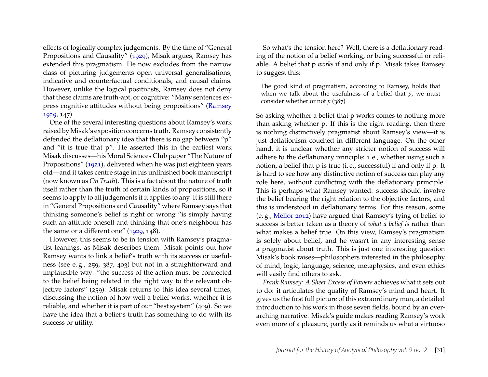effects of logically complex judgements. By the time of "General Propositions and Causality" [\(1929\)](#page-4-0), Misak argues, Ramsey has extended this pragmatism. He now excludes from the narrow class of picturing judgements open universal generalisations, indicative and counterfactual conditionals, and causal claims. However, unlike the logical positivists, Ramsey does not deny that these claims are truth-apt, or cognitive: "Many sentences express cognitive attitudes without being propositions" [\(Ramsey](#page-4-0) [1929,](#page-4-0) 147).

One of the several interesting questions about Ramsey's work raised byMisak's exposition concerns truth. Ramsey consistently defended the deflationary idea that there is no gap between "p" and "it is true that p". He asserted this in the earliest work Misak discusses—his Moral Sciences Club paper "The Nature of Propositions" [\(1921\)](#page-4-9), delivered when he was just eighteen years old—and it takes centre stage in his unfinished book manuscript (now known as *On Truth*). This is a fact about the nature of truth itself rather than the truth of certain kinds of propositions, so it seems to apply to all judgements if it applies to any. It is still there in "General Propositions and Causality" where Ramsey says that thinking someone's belief is right or wrong "is simply having such an attitude oneself and thinking that one's neighbour has the same or a different one" [\(1929,](#page-4-0) 148).

However, this seems to be in tension with Ramsey's pragmatist leanings, as Misak describes them. Misak points out how Ramsey wants to link a belief's truth with its success or usefulness (see e. g., 259, 387, 403) but not in a straightforward and implausible way: "the success of the action must be connected to the belief being related in the right way to the relevant objective factors" (259). Misak returns to this idea several times, discussing the notion of how well a belief works, whether it is reliable, and whether it is part of our "best system" (409). So we have the idea that a belief's truth has something to do with its success or utility.

So what's the tension here? Well, there is a deflationary reading of the notion of a belief working, or being successful or reliable. A belief that p *works* if and only if p. Misak takes Ramsey to suggest this:

The good kind of pragmatism, according to Ramsey, holds that when we talk about the usefulness of a belief that *p*, we must consider whether or not *p* (387)

So asking whether a belief that p works comes to nothing more than asking whether p. If this is the right reading, then there is nothing distinctively pragmatist about Ramsey's view—it is just deflationism couched in different language. On the other hand, it is unclear whether any stricter notion of success will adhere to the deflationary principle: i. e., whether using such a notion, a belief that p is true (i. e., successful) if and only if p. It is hard to see how any distinctive notion of success can play any role here, without conflicting with the deflationary principle. This is perhaps what Ramsey wanted: success should involve the belief bearing the right relation to the objective factors, and this is understood in deflationary terms. For this reason, some (e. g., [Mellor 2012\)](#page-4-10) have argued that Ramsey's tying of belief to success is better taken as a theory of *what a belief is* rather than what makes a belief true. On this view, Ramsey's pragmatism is solely about belief, and he wasn't in any interesting sense a pragmatist about truth. This is just one interesting question Misak's book raises—philosophers interested in the philosophy of mind, logic, language, science, metaphysics, and even ethics will easily find others to ask.

*Frank Ramsey: A Sheer Excess of Powers* achieves what it sets out to do: it articulates the quality of Ramsey's mind and heart. It gives us the first full picture of this extraordinary man, a detailed introduction to his work in those seven fields, bound by an overarching narrative. Misak's guide makes reading Ramsey's work even more of a pleasure, partly as it reminds us what a virtuoso